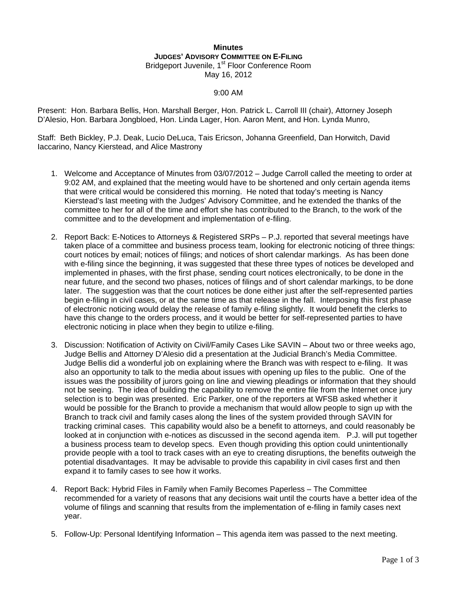## **Minutes JUDGES' ADVISORY COMMITTEE ON E-FILING** Bridgeport Juvenile, 1<sup>st</sup> Floor Conference Room May 16, 2012

## 9:00 AM

Present: Hon. Barbara Bellis, Hon. Marshall Berger, Hon. Patrick L. Carroll III (chair), Attorney Joseph D'Alesio, Hon. Barbara Jongbloed, Hon. Linda Lager, Hon. Aaron Ment, and Hon. Lynda Munro,

Staff: Beth Bickley, P.J. Deak, Lucio DeLuca, Tais Ericson, Johanna Greenfield, Dan Horwitch, David Iaccarino, Nancy Kierstead, and Alice Mastrony

- 1. Welcome and Acceptance of Minutes from 03/07/2012 Judge Carroll called the meeting to order at 9:02 AM, and explained that the meeting would have to be shortened and only certain agenda items that were critical would be considered this morning. He noted that today's meeting is Nancy Kierstead's last meeting with the Judges' Advisory Committee, and he extended the thanks of the committee to her for all of the time and effort she has contributed to the Branch, to the work of the committee and to the development and implementation of e-filing.
- 2. Report Back: E-Notices to Attorneys & Registered SRPs P.J. reported that several meetings have taken place of a committee and business process team, looking for electronic noticing of three things: court notices by email; notices of filings; and notices of short calendar markings. As has been done with e-filing since the beginning, it was suggested that these three types of notices be developed and implemented in phases, with the first phase, sending court notices electronically, to be done in the near future, and the second two phases, notices of filings and of short calendar markings, to be done later. The suggestion was that the court notices be done either just after the self-represented parties begin e-filing in civil cases, or at the same time as that release in the fall. Interposing this first phase of electronic noticing would delay the release of family e-filing slightly. It would benefit the clerks to have this change to the orders process, and it would be better for self-represented parties to have electronic noticing in place when they begin to utilize e-filing.
- 3. Discussion: Notification of Activity on Civil/Family Cases Like SAVIN About two or three weeks ago, Judge Bellis and Attorney D'Alesio did a presentation at the Judicial Branch's Media Committee. Judge Bellis did a wonderful job on explaining where the Branch was with respect to e-filing. It was also an opportunity to talk to the media about issues with opening up files to the public. One of the issues was the possibility of jurors going on line and viewing pleadings or information that they should not be seeing. The idea of building the capability to remove the entire file from the Internet once jury selection is to begin was presented. Eric Parker, one of the reporters at WFSB asked whether it would be possible for the Branch to provide a mechanism that would allow people to sign up with the Branch to track civil and family cases along the lines of the system provided through SAVIN for tracking criminal cases. This capability would also be a benefit to attorneys, and could reasonably be looked at in conjunction with e-notices as discussed in the second agenda item. P.J. will put together a business process team to develop specs. Even though providing this option could unintentionally provide people with a tool to track cases with an eye to creating disruptions, the benefits outweigh the potential disadvantages. It may be advisable to provide this capability in civil cases first and then expand it to family cases to see how it works.
- 4. Report Back: Hybrid Files in Family when Family Becomes Paperless The Committee recommended for a variety of reasons that any decisions wait until the courts have a better idea of the volume of filings and scanning that results from the implementation of e-filing in family cases next year.
- 5. Follow-Up: Personal Identifying Information This agenda item was passed to the next meeting.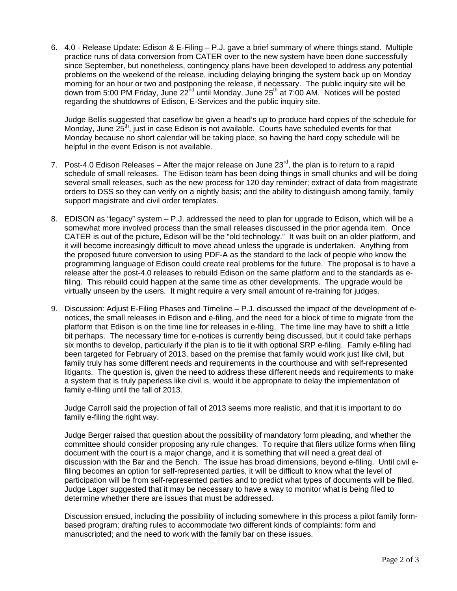6. 4.0 - Release Update: Edison & E-Filing – P.J. gave a brief summary of where things stand. Multiple practice runs of data conversion from CATER over to the new system have been done successfully since September, but nonetheless, contingency plans have been developed to address any potential problems on the weekend of the release, including delaying bringing the system back up on Monday morning for an hour or two and postponing the release, if necessary. The public inquiry site will be down from 5:00 PM Friday, June 22<sup>nd</sup> until Monday, June 25<sup>th</sup> at 7:00 AM. Notices will be posted regarding the shutdowns of Edison, E-Services and the public inquiry site.

Judge Bellis suggested that caseflow be given a head's up to produce hard copies of the schedule for Monday, June  $25<sup>th</sup>$ , just in case Edison is not available. Courts have scheduled events for that Monday because no short calendar will be taking place, so having the hard copy schedule will be helpful in the event Edison is not available.

- 7. Post-4.0 Edison Releases After the major release on June  $23<sup>rd</sup>$ , the plan is to return to a rapid schedule of small releases. The Edison team has been doing things in small chunks and will be doing several small releases, such as the new process for 120 day reminder; extract of data from magistrate orders to DSS so they can verify on a nightly basis; and the ability to distinguish among family, family support magistrate and civil order templates.
- 8. EDISON as "legacy" system P.J. addressed the need to plan for upgrade to Edison, which will be a somewhat more involved process than the small releases discussed in the prior agenda item. Once CATER is out of the picture, Edison will be the "old technology." It was built on an older platform, and it will become increasingly difficult to move ahead unless the upgrade is undertaken. Anything from the proposed future conversion to using PDF-A as the standard to the lack of people who know the programming language of Edison could create real problems for the future. The proposal is to have a release after the post-4.0 releases to rebuild Edison on the same platform and to the standards as efiling. This rebuild could happen at the same time as other developments. The upgrade would be virtually unseen by the users. It might require a very small amount of re-training for judges.
- 9. Discussion: Adjust E-Filing Phases and Timeline P.J. discussed the impact of the development of enotices, the small releases in Edison and e-filing, and the need for a block of time to migrate from the platform that Edison is on the time line for releases in e-filing. The time line may have to shift a little bit perhaps. The necessary time for e-notices is currently being discussed, but it could take perhaps six months to develop, particularly if the plan is to tie it with optional SRP e-filing. Family e-filing had been targeted for February of 2013, based on the premise that family would work just like civil, but family truly has some different needs and requirements in the courthouse and with self-represented litigants. The question is, given the need to address these different needs and requirements to make a system that is truly paperless like civil is, would it be appropriate to delay the implementation of family e-filing until the fall of 2013.

Judge Carroll said the projection of fall of 2013 seems more realistic, and that it is important to do family e-filing the right way.

Judge Berger raised that question about the possibility of mandatory form pleading, and whether the committee should consider proposing any rule changes. To require that filers utilize forms when filing document with the court is a major change, and it is something that will need a great deal of discussion with the Bar and the Bench. The issue has broad dimensions, beyond e-filing. Until civil efiling becomes an option for self-represented parties, it will be difficult to know what the level of participation will be from self-represented parties and to predict what types of documents will be filed. Judge Lager suggested that it may be necessary to have a way to monitor what is being filed to determine whether there are issues that must be addressed.

Discussion ensued, including the possibility of including somewhere in this process a pilot family formbased program; drafting rules to accommodate two different kinds of complaints: form and manuscripted; and the need to work with the family bar on these issues.